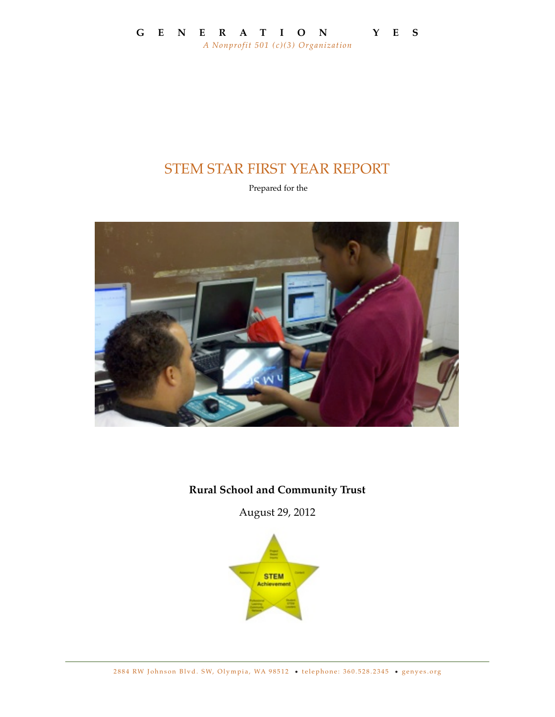# STEM STAR FIRST YEAR REPORT

Prepared for the



## **Rural School and Community Trust**

August 29, 2012

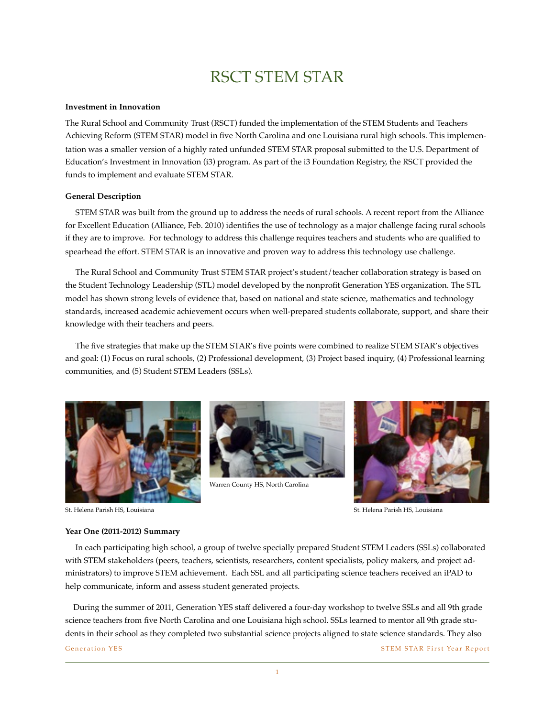# RSCT STEM STAR

### **Investment in Innovation**

The Rural School and Community Trust (RSCT) funded the implementation of the STEM Students and Teachers Achieving Reform (STEM STAR) model in five North Carolina and one Louisiana rural high schools. This implementation was a smaller version of a highly rated unfunded STEM STAR proposal submitted to the U.S. Department of Education's Investment in Innovation (i3) program. As part of the i3 Foundation Registry, the RSCT provided the funds to implement and evaluate STEM STAR.

### **General Description**

 STEM STAR was built from the ground up to address the needs of rural schools. A recent report from the Alliance for Excellent Education (Alliance, Feb. 2010) identifies the use of technology as a major challenge facing rural schools if they are to improve. For technology to address this challenge requires teachers and students who are qualified to spearhead the effort. STEM STAR is an innovative and proven way to address this technology use challenge.

 The Rural School and Community Trust STEM STAR project's student/teacher collaboration strategy is based on the Student Technology Leadership (STL) model developed by the nonprofit Generation YES organization. The STL model has shown strong levels of evidence that, based on national and state science, mathematics and technology standards, increased academic achievement occurs when well-prepared students collaborate, support, and share their knowledge with their teachers and peers.

 The five strategies that make up the STEM STAR's five points were combined to realize STEM STAR's objectives and goal: (1) Focus on rural schools, (2) Professional development, (3) Project based inquiry, (4) Professional learning communities, and (5) Student STEM Leaders (SSLs).





Warren County HS, North Carolina



St. Helena Parish HS, Louisiana

St. Helena Parish HS, Louisiana

### **Year One (2011-2012) Summary**

 In each participating high school, a group of twelve specially prepared Student STEM Leaders (SSLs) collaborated with STEM stakeholders (peers, teachers, scientists, researchers, content specialists, policy makers, and project administrators) to improve STEM achievement. Each SSL and all participating science teachers received an iPAD to help communicate, inform and assess student generated projects.

 During the summer of 2011, Generation YES staff delivered a four-day workshop to twelve SSLs and all 9th grade science teachers from five North Carolina and one Louisiana high school. SSLs learned to mentor all 9th grade students in their school as they completed two substantial science projects aligned to state science standards. They also

Generation YES STEM STAR First Year Report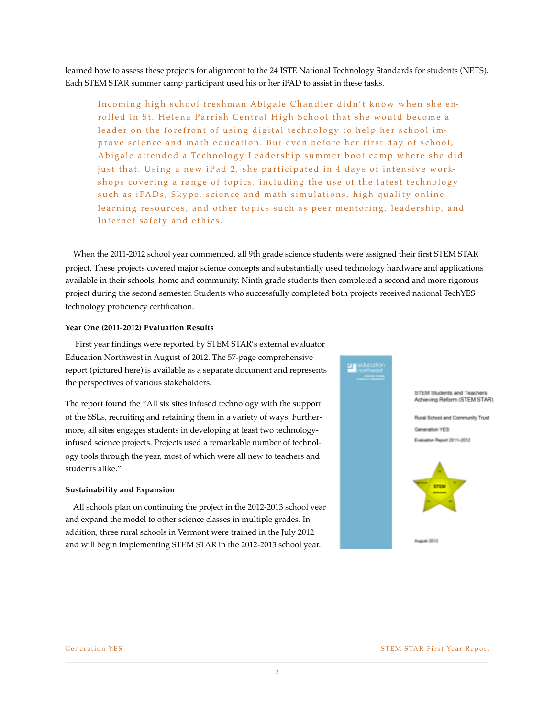learned how to assess these projects for alignment to the 24 ISTE National Technology Standards for students (NETS). Each STEM STAR summer camp participant used his or her iPAD to assist in these tasks.

Incoming high school freshman Abigale Chandler didn't know when she enrolled in St. Helena Parrish Central High School that she would become a leader on the forefront of using digital technology to help her school improve science and math education. But even before her first day of school, Abigale attended a Technology Leadership summer boot camp where she did just that. Using a new iPad 2, she participated in 4 days of intensive workshops covering a range of topics, including the use of the latest technology such as iPADs, Skype, science and math simulations, high quality online learning resources, and other topics such as peer mentoring, leadership, and Internet safety and ethics.

 When the 2011-2012 school year commenced, all 9th grade science students were assigned their first STEM STAR project. These projects covered major science concepts and substantially used technology hardware and applications available in their schools, home and community. Ninth grade students then completed a second and more rigorous project during the second semester. Students who successfully completed both projects received national TechYES technology proficiency certification.

### **Year One (2011-2012) Evaluation Results**

 First year findings were reported by STEM STAR's external evaluator Education Northwest in August of 2012. The 57-page comprehensive report (pictured here) is available as a separate document and represents the perspectives of various stakeholders.

The report found the "All six sites infused technology with the support of the SSLs, recruiting and retaining them in a variety of ways. Furthermore, all sites engages students in developing at least two technologyinfused science projects. Projects used a remarkable number of technology tools through the year, most of which were all new to teachers and students alike."

### **Sustainability and Expansion**

 All schools plan on continuing the project in the 2012-2013 school year and expand the model to other science classes in multiple grades. In addition, three rural schools in Vermont were trained in the July 2012 and will begin implementing STEM STAR in the 2012-2013 school year.

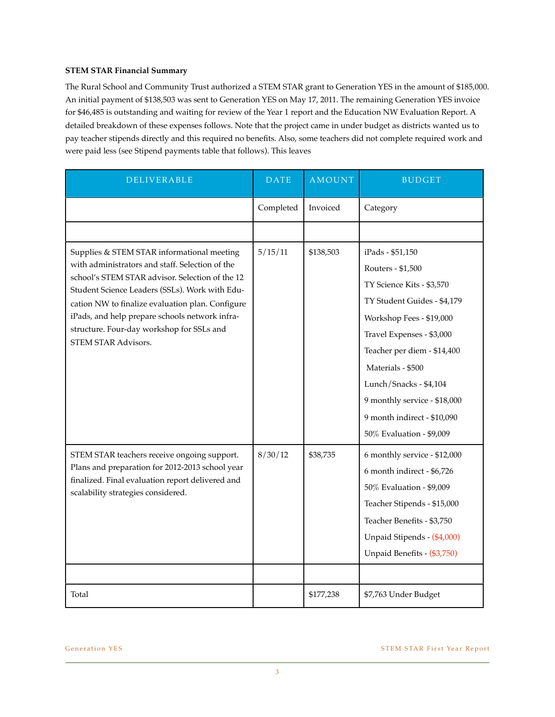### **STEM STAR Financial Summary**

The Rural School and Community Trust authorized a STEM STAR grant to Generation YES in the amount of \$185,000. An initial payment of \$138,503 was sent to Generation YES on May 17, 2011. The remaining Generation YES invoice for \$46,485 is outstanding and waiting for review of the Year 1 report and the Education NW Evaluation Report. A detailed breakdown of these expenses follows. Note that the project came in under budget as districts wanted us to pay teacher stipends directly and this required no benefits. Also, some teachers did not complete required work and were paid less (see Stipend payments table that follows). This leaves

| DELIVERABLE                                                                                                                                                                                                                                                                                                                                                                  | <b>DATE</b> | <b>AMOUNT</b> | <b>BUDGET</b>                                                                                                                                                                                                                                                                                                                       |
|------------------------------------------------------------------------------------------------------------------------------------------------------------------------------------------------------------------------------------------------------------------------------------------------------------------------------------------------------------------------------|-------------|---------------|-------------------------------------------------------------------------------------------------------------------------------------------------------------------------------------------------------------------------------------------------------------------------------------------------------------------------------------|
|                                                                                                                                                                                                                                                                                                                                                                              | Completed   | Invoiced      | Category                                                                                                                                                                                                                                                                                                                            |
|                                                                                                                                                                                                                                                                                                                                                                              |             |               |                                                                                                                                                                                                                                                                                                                                     |
| Supplies & STEM STAR informational meeting<br>with administrators and staff. Selection of the<br>school's STEM STAR advisor. Selection of the 12<br>Student Science Leaders (SSLs). Work with Edu-<br>cation NW to finalize evaluation plan. Configure<br>iPads, and help prepare schools network infra-<br>structure. Four-day workshop for SSLs and<br>STEM STAR Advisors. | 5/15/11     | \$138,503     | iPads - \$51,150<br>Routers - \$1,500<br>TY Science Kits - \$3,570<br>TY Student Guides - \$4,179<br>Workshop Fees - \$19,000<br>Travel Expenses - \$3,000<br>Teacher per diem - \$14,400<br>Materials - \$500<br>Lunch/Snacks - \$4,104<br>9 monthly service - \$18,000<br>9 month indirect - \$10,090<br>50% Evaluation - \$9,009 |
| STEM STAR teachers receive ongoing support.<br>Plans and preparation for 2012-2013 school year<br>finalized. Final evaluation report delivered and<br>scalability strategies considered.                                                                                                                                                                                     | 8/30/12     | \$38,735      | 6 monthly service - \$12,000<br>6 month indirect - \$6,726<br>50% Evaluation - \$9,009<br>Teacher Stipends - \$15,000<br>Teacher Benefits - \$3,750<br>Unpaid Stipends - (\$4,000)<br>Unpaid Benefits - (\$3,750)                                                                                                                   |
| Total                                                                                                                                                                                                                                                                                                                                                                        |             | \$177,238     | \$7,763 Under Budget                                                                                                                                                                                                                                                                                                                |